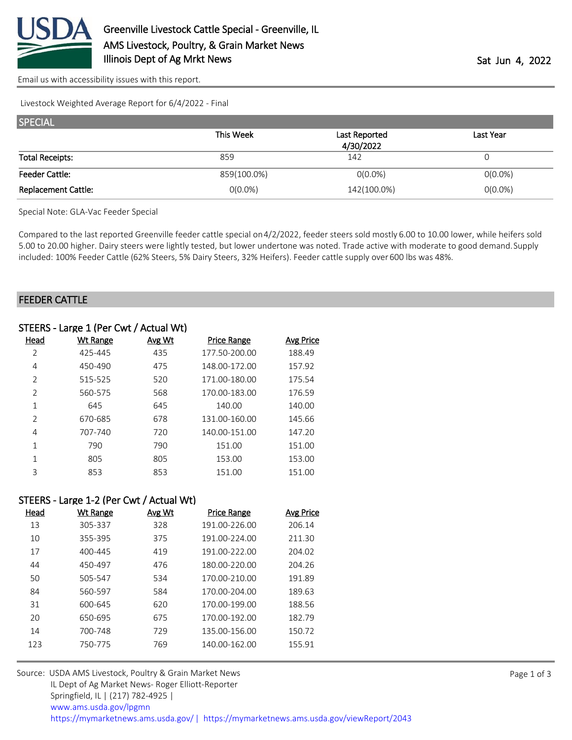

[Email us with accessibility issues with this report.](mailto:mars@ams.usda.gov?subject=508%20issue)

Livestock Weighted Average Report for 6/4/2022 - Final

| <b>SPECIAL</b>             |             |                            |            |  |  |
|----------------------------|-------------|----------------------------|------------|--|--|
|                            | This Week   | Last Reported<br>4/30/2022 | Last Year  |  |  |
| <b>Total Receipts:</b>     | 859         | 142                        |            |  |  |
|                            |             |                            |            |  |  |
| <b>Feeder Cattle:</b>      | 859(100.0%) | $O(0.0\%)$                 | $O(0.0\%)$ |  |  |
| <b>Replacement Cattle:</b> | $0(0.0\%)$  | 142(100.0%)                | $O(0.0\%)$ |  |  |

Special Note: GLA-Vac Feeder Special

Compared to the last reported Greenville feeder cattle special on 4/2/2022, feeder steers sold mostly 6.00 to 10.00 lower, while heifers sold 5.00 to 20.00 higher. Dairy steers were lightly tested, but lower undertone was noted. Trade active with moderate to good demand. Supply included: 100% Feeder Cattle (62% Steers, 5% Dairy Steers, 32% Heifers). Feeder cattle supply over 600 lbs was 48%.

#### FEEDER CATTLE

|                | STEERS - Large 1 (Per Cwt / Actual Wt) |        |                    |                  |
|----------------|----------------------------------------|--------|--------------------|------------------|
| Head           | <u>Wt Range</u>                        | Avg Wt | <b>Price Range</b> | <b>Avg Price</b> |
| 2              | 425-445                                | 435    | 177.50-200.00      | 188.49           |
| 4              | 450-490                                | 475    | 148.00-172.00      | 157.92           |
| 2              | 515-525                                | 520    | 171.00-180.00      | 175.54           |
| $\overline{2}$ | 560-575                                | 568    | 170.00-183.00      | 176.59           |
| 1              | 645                                    | 645    | 140.00             | 140.00           |
| $\mathfrak{D}$ | 670-685                                | 678    | 131.00-160.00      | 145.66           |
| 4              | 707-740                                | 720    | 140.00-151.00      | 147.20           |
| 1              | 790                                    | 790    | 151.00             | 151.00           |
|                | 805                                    | 805    | 153.00             | 153.00           |
| 3              | 853                                    | 853    | 151.00             | 151.00           |

# STEERS - Large 1-2 (Per Cwt / Actual Wt)

| Head | Wt Range | Avg Wt | <b>Price Range</b> | Avg Price |
|------|----------|--------|--------------------|-----------|
| 13   | 305-337  | 328    | 191.00-226.00      | 206.14    |
| 10   | 355-395  | 375    | 191.00-224.00      | 211.30    |
| 17   | 400-445  | 419    | 191.00-222.00      | 204.02    |
| 44   | 450-497  | 476    | 180.00-220.00      | 204.26    |
| 50   | 505-547  | 534    | 170.00-210.00      | 191.89    |
| 84   | 560-597  | 584    | 170.00-204.00      | 189.63    |
| 31   | 600-645  | 620    | 170.00-199.00      | 188.56    |
| 20   | 650-695  | 675    | 170.00-192.00      | 182.79    |
| 14   | 700-748  | 729    | 135.00-156.00      | 150.72    |
| 123  | 750-775  | 769    | 140.00-162.00      | 155.91    |
|      |          |        |                    |           |

| Source: USDA AMS Livestock, Poultry & Grain Market News                                |
|----------------------------------------------------------------------------------------|
| IL Dept of Ag Market News-Roger Elliott-Reporter                                       |
| Springfield, IL   (217) 782-4925                                                       |
| www.ams.usda.gov/lpgmn                                                                 |
| https://mymarketnews.ams.usda.gov/   https://mymarketnews.ams.usda.gov/viewReport/2043 |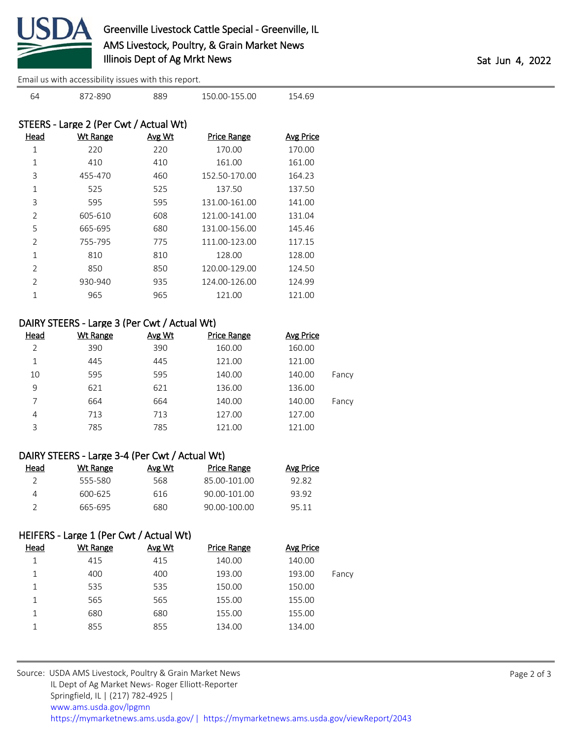

[Email us with accessibility issues with this report.](mailto:mars@ams.usda.gov?subject=508%20issue)

|                | STEERS - Large 2 (Per Cwt / Actual Wt) |        |                    |           |
|----------------|----------------------------------------|--------|--------------------|-----------|
| Head           | <b>Wt Range</b>                        | Avg Wt | <b>Price Range</b> | Avg Price |
| 1              | 220                                    | 220    | 170.00             | 170.00    |
| 1              | 410                                    | 410    | 161.00             | 161.00    |
| 3              | 455-470                                | 460    | 152.50-170.00      | 164.23    |
| 1              | 525                                    | 525    | 137.50             | 137.50    |
| 3              | 595                                    | 595    | 131.00-161.00      | 141.00    |
| $\mathcal{P}$  | 605-610                                | 608    | 121.00-141.00      | 131.04    |
| 5              | 665-695                                | 680    | 131.00-156.00      | 145.46    |
| $\mathcal{P}$  | 755-795                                | 775    | 111.00-123.00      | 117.15    |
| 1              | 810                                    | 810    | 128.00             | 128.00    |
| $\overline{2}$ | 850                                    | 850    | 120.00-129.00      | 124.50    |
| $\mathcal{P}$  | 930-940                                | 935    | 124.00-126.00      | 124.99    |
|                | 965                                    | 965    | 121.00             | 121.00    |
|                |                                        |        |                    |           |

872-890 889 150.00-155.00 154.69

### DAIRY STEERS - Large 3 (Per Cwt / Actual Wt)

| <b>Head</b> | Wt Range | <b>Avg Wt</b> | <b>Price Range</b> | Avg Price |       |
|-------------|----------|---------------|--------------------|-----------|-------|
| 2           | 390      | 390           | 160.00             | 160.00    |       |
| 1           | 445      | 445           | 121.00             | 121.00    |       |
| 10          | 595      | 595           | 140.00             | 140.00    | Fancy |
| 9           | 621      | 621           | 136.00             | 136.00    |       |
| 7           | 664      | 664           | 140.00             | 140.00    | Fancy |
| 4           | 713      | 713           | 127.00             | 127.00    |       |
| 3           | 785      | 785           | 121.00             | 121.00    |       |

# DAIRY STEERS - Large 3-4 (Per Cwt / Actual Wt)

| Head | Wt Range | Avg Wt | <b>Price Range</b> | Avg Price |
|------|----------|--------|--------------------|-----------|
|      | 555-580  | 568.   | 85.00-101.00       | 92.82     |
|      | 600-625  | 616    | 90.00-101.00       | 93.92     |
|      | 665-695  | 680    | 90.00-100.00       | 95 11     |

# HEIFERS - Large 1 (Per Cwt / Actual Wt)

| Head | Wt Range | Avg Wt | <b>Price Range</b> | <b>Avg Price</b> |       |
|------|----------|--------|--------------------|------------------|-------|
|      | 415      | 415    | 140.00             | 140.00           |       |
|      | 400      | 400    | 193.00             | 193.00           | Fancy |
|      | 535      | 535    | 150.00             | 150.00           |       |
|      | 565      | 565    | 155.00             | 155.00           |       |
| 1    | 680      | 680    | 155.00             | 155.00           |       |
|      | 855      | 855    | 134.00             | 134.00           |       |